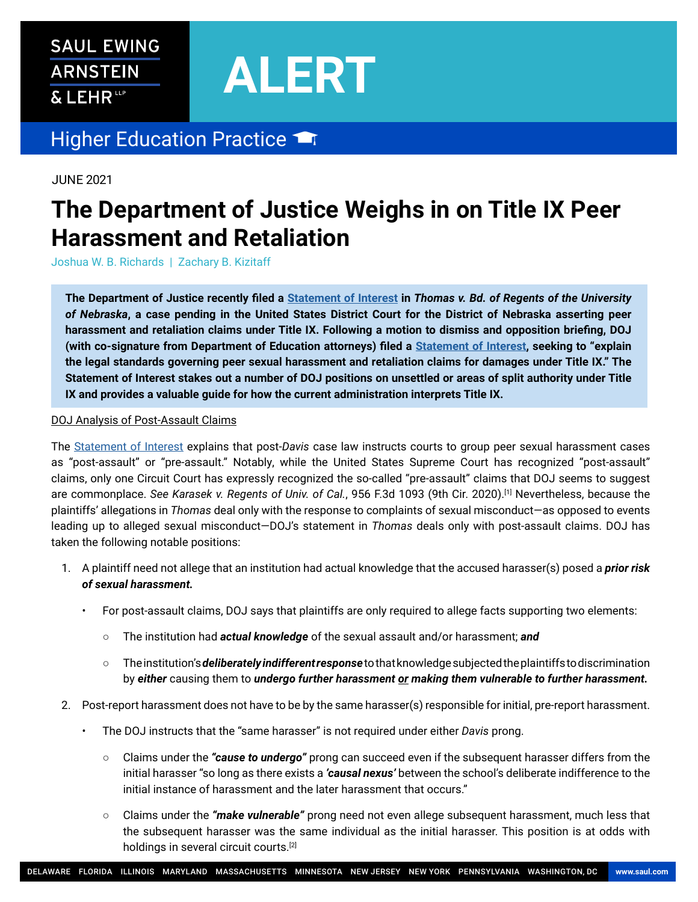## **SAUL EWING ARNSTEIN** & LEHR<sup>ttp</sup>

# **ALERT**

### Higher Education Practice

JUNE 2021

## **The Department of Justice Weighs in on Title IX Peer Harassment and Retaliation**

Joshua W. B. Richards | Zachary B. Kizitaff

**The Department of Justice recently filed a [Statement of Interest](https://www.saul.com/sites/default/files/sites/default/files/documents/Doc.%2047.pdf) in** *Thomas v. Bd. of Regents of the University of Nebraska***, a case pending in the United States District Court for the District of Nebraska asserting peer harassment and retaliation claims under Title IX. Following a motion to dismiss and opposition briefing, DOJ (with co-signature from Department of Education attorneys) filed a [Statement of Interest,](https://www.saul.com/sites/default/files/sites/default/files/documents/Doc.%2047.pdf) seeking to "explain the legal standards governing peer sexual harassment and retaliation claims for damages under Title IX." The**  Statement of Interest stakes out a number of DOJ positions on unsettled or areas of split authority under Title **IX and provides a valuable guide for how the current administration interprets Title IX.**

#### DOJ Analysis of Post-Assault Claims

The [Statement of Interest](https://www.saul.com/sites/default/files/sites/default/files/documents/Doc.%2047.pdf) explains that post-*Davis* case law instructs courts to group peer sexual harassment cases as "post-assault" or "pre-assault." Notably, while the United States Supreme Court has recognized "post-assault" claims, only one Circuit Court has expressly recognized the so-called "pre-assault" claims that DOJ seems to suggest are commonplace. *See Karasek v. Regents of Univ. of Cal.*, 956 F.3d 1093 (9th Cir. 2020).[1] Nevertheless, because the plaintiffs' allegations in *Thomas* deal only with the response to complaints of sexual misconduct—as opposed to events leading up to alleged sexual misconduct—DOJ's statement in *Thomas* deals only with post-assault claims. DOJ has taken the following notable positions:

- 1. A plaintiff need not allege that an institution had actual knowledge that the accused harasser(s) posed a *prior risk of sexual harassment.*
	- For post-assault claims, DOJ says that plaintiffs are only required to allege facts supporting two elements:
		- The institution had *actual knowledge* of the sexual assault and/or harassment; *and*
		- The institution's *deliberately indifferent response* to that knowledge subjected the plaintiffs to discrimination by *either* causing them to *undergo further harassment or making them vulnerable to further harassment.*
- 2. Post-report harassment does not have to be by the same harasser(s) responsible for initial, pre-report harassment.
	- The DOJ instructs that the "same harasser" is not required under either *Davis* prong.
		- Claims under the *"cause to undergo"* prong can succeed even if the subsequent harasser differs from the initial harasser "so long as there exists a *'causal nexus'* between the school's deliberate indifference to the initial instance of harassment and the later harassment that occurs."
		- Claims under the *"make vulnerable"* prong need not even allege subsequent harassment, much less that the subsequent harasser was the same individual as the initial harasser. This position is at odds with holdings in several circuit courts.<sup>[2]</sup>